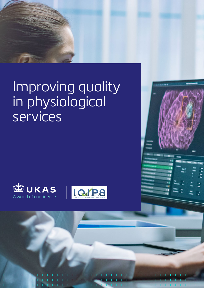# Improving quality in physiological services



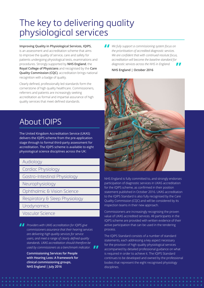## The key to delivering quality physiological services

**Improving Quality in Physiological Services, IQIPS,** is an assessment and accreditation scheme that aims to improve the quality of service, care and safety for patients undergoing physiological tests, examinations and procedures. Strongly supported by **NHS England**, the **Royal College of Physicians** and recognised by the **Care Quality Commission (CQC)**, accreditation brings national recognition with a badge of quality.

Clearly defined, professionally led standards form the cornerstone of high quality healthcare. Commissioners, referrers and patients are increasingly seeking accreditation as formal and impartial assurance of high quality services that meet defined standards.

**I** We fully support a commissioning system focus on the prioritisation of accredited diagnostic services.<br>We are confident that with continued resolute focus *the prioritisation of accredited diagnostic services. We are confident that with continued resolute focus, accreditation will become the baseline standard for diagnostic services across the NHS in England.* **"**

**NHS England | October 2016**



About IQIPS

The United Kingdom Accreditation Service (UKAS) delivers the IQIPS scheme from the pre-application stage through to formal third-party assessment for accreditation. The IQIPS scheme is available to eight physiological science disciplines across the UK:

### Audiology

Cardiac Physiology

Gastro-Intestinal Physiology

Neurophysiology

Ophthalmic & Vision Science

Respiratory & Sleep Physiology

**Urodynamics** 

- Vascular Science
- **Providers with UKAS accreditation for IQIPS give<br>
commissioners assurance that their hearing serv<br>** *are delivering high quality services for senvice commissioners assurance that their hearing services are delivering high quality services for service users, and meet a range of clearly defined quality standards. UKAS accreditation should therefore be used by commissioners as a benchmark indicator.* **"**

**Commissioning Services for People with Hearing Loss: A framework for clinical commissioning groups, NHS England | July 2016**

NHS England is fully committed to, and strongly endorses participation of diagnostic services in UKAS accreditation for the IQIPS scheme, as confirmed in their position statement published in October 2016. UKAS accreditation to the IQIPS Standard is also fully recognised by the Care Quality Commission (CQC) and will be considered by its inspection teams in their new approach.

Commissioners are increasingly recognising the proven value of UKAS accredited services. All participants in the IQIPS scheme are provided with written evidence of their active participation that can be used in the tendering process.

The IQIPS Standard consists of a number of standard statements, each addressing a key aspect necessary for the provision of high quality physiological services accompanied by detailed professional guidance on what is required in order to achieve it. The IQIPS Standard continues to be developed and owned by the professional bodies that represent the eight recognised physiology disciplines.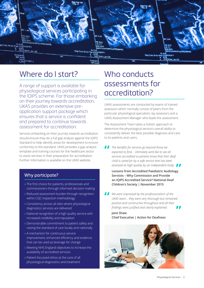

### Where do I start? Who conducts

A range of support is available for physiological services participating in the IQIPS scheme. For those embarking on their journey towards accreditation, UKAS provides an extensive preapplication support package which ensures that a service is confident and prepared to continue towards assessment for accreditation.

Services embarking on their journey towards accreditation should ensure they do a full gap analysis against the IQIPS Standard to help identify areas for development to ensure conformity to the standard. UKAS provides a gap analysis template and training courses for the healthcare sector to assist services in their preparation for accreditation. Further information is available on the UKAS website.

### Why participate?

- The first choice for patients, professionals and commissioners through informed decision-making
- Reduced assessment burden through recognition within CQC inspection methodology
- Consistency across all sites where physiological diagnostics services are delivered
- National recognition of a high quality service with increased credibility and reputation
- Demonstrable commitment to patient safety and raising the standard of care locally and nationally
- A mechanism for continuous service improvement, enhanced efficiency and evidence that can be used as leverage for change
- Meeting NHS England objectives to increase the availability of accredited services
- Patient-focussed ethos at the core of all physiological diagnostics and treatment

# assessments for accreditation?

UKAS assessments are conducted by teams of trained assessors which normally consist of peers from the particular physiological specialism, lay assessors and a UKAS Assessment Manager who leads the assessment.

The Assessment Team takes a holistic approach to determine the physiological service's overall ability to consistently deliver the best possible diagnosis and care to its patients and users.

**The benefits for services go beyond those we expected to find... Ultimately we'd like to see a services accredited so parents know that their** *expected to find… Ultimately we'd like to see all services accredited so parents know that their deaf child is cared for by a safe service that has been* 

**Example 3 as high quality by an independent body.<br>
<b>Lessons from Accredited Paediatric Audiology Lessons from Accredited Paediatric Audiology Services – Why Commission and Provide an IQIPS Accredited Service? National Deaf Children's Society | November 2015**

**I** We were impressed by the professionalism of the UKAS team... they were very thorough but remain nositive and constructive throughout and all their *UKAS team… they were very thorough but remained positive and constructive throughout and all their findings were justified and clearly explained.* **"**

**Jane Shaw Chief Executive | Action for Deafness** 

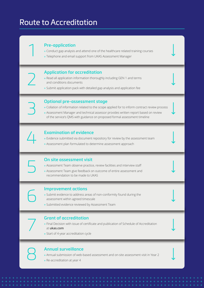### Route to Accreditation